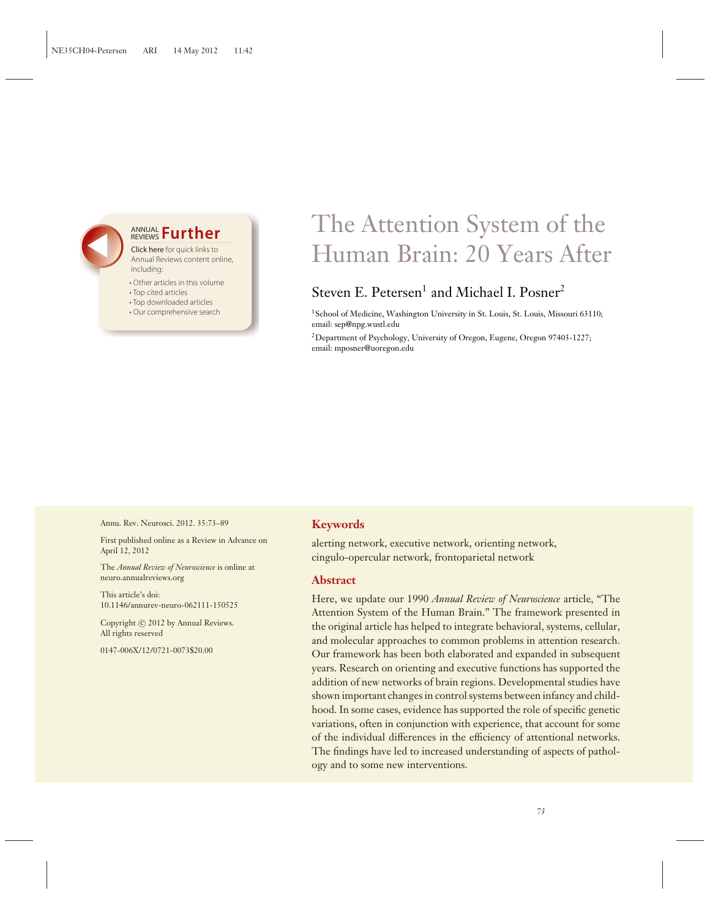# **ANNUAL Further**

Click here for quick links to Annual Reviews content online, including:

- Other articles in this volume
- Top cited articles
- Top downloaded articles
- Our comprehensive search

# The Attention System of the Human Brain: 20 Years After

# Steven E. Petersen<sup>1</sup> and Michael I. Posner<sup>2</sup>

<sup>1</sup>School of Medicine, Washington University in St. Louis, St. Louis, Missouri 63110; email: sep@npg.wustl.edu

2Department of Psychology, University of Oregon, Eugene, Oregon 97403-1227; email: mposner@uoregon.edu

Annu. Rev. Neurosci. 2012. 35:73–89

First published online as a Review in Advance on April 12, 2012

The *Annual Review of Neuroscience* is online at neuro.annualreviews.org

This article's doi: 10.1146/annurev-neuro-062111-150525

Copyright © 2012 by Annual Reviews. All rights reserved

0147-006X/12/0721-0073\$20.00

#### **Keywords**

alerting network, executive network, orienting network, cingulo-opercular network, frontoparietal network

#### **Abstract**

Here, we update our 1990 *Annual Review of Neuroscience* article, "The Attention System of the Human Brain." The framework presented in the original article has helped to integrate behavioral, systems, cellular, and molecular approaches to common problems in attention research. Our framework has been both elaborated and expanded in subsequent years. Research on orienting and executive functions has supported the addition of new networks of brain regions. Developmental studies have shown important changes in control systems between infancy and childhood. In some cases, evidence has supported the role of specific genetic variations, often in conjunction with experience, that account for some of the individual differences in the efficiency of attentional networks. The findings have led to increased understanding of aspects of pathology and to some new interventions.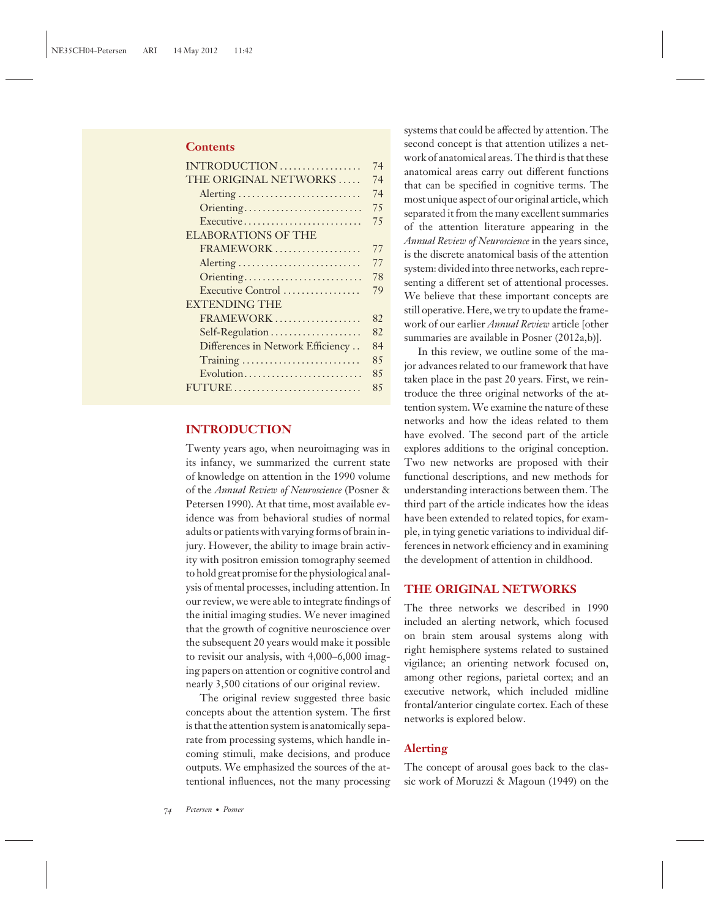### **Contents**

| INTRODUCTION                      | 74 |
|-----------------------------------|----|
| THE ORIGINAL NETWORKS             | 74 |
| Alerting                          | 74 |
| Orienting                         | 75 |
| Executive                         | 75 |
| <b>ELABORATIONS OF THE</b>        |    |
| FRAMEWORK                         | 77 |
| Alerting                          | 77 |
| Orienting                         | 78 |
| Executive Control                 | 79 |
| <b>EXTENDING THE</b>              |    |
| FRAMEWORK                         | 82 |
| Self-Regulation                   | 82 |
| Differences in Network Efficiency | 84 |
| Training                          | 85 |
| Evolution                         | 85 |
|                                   | 85 |
|                                   |    |

# **INTRODUCTION**

Twenty years ago, when neuroimaging was in its infancy, we summarized the current state of knowledge on attention in the 1990 volume of the *Annual Review of Neuroscience* (Posner & Petersen 1990). At that time, most available evidence was from behavioral studies of normal adults or patients with varying forms of brain injury. However, the ability to image brain activity with positron emission tomography seemed to hold great promise for the physiological analysis of mental processes, including attention. In our review, we were able to integrate findings of the initial imaging studies. We never imagined that the growth of cognitive neuroscience over the subsequent 20 years would make it possible to revisit our analysis, with 4,000–6,000 imaging papers on attention or cognitive control and nearly 3,500 citations of our original review.

The original review suggested three basic concepts about the attention system. The first is that the attention system is anatomically separate from processing systems, which handle incoming stimuli, make decisions, and produce outputs. We emphasized the sources of the attentional influences, not the many processing systems that could be affected by attention. The second concept is that attention utilizes a network of anatomical areas. The third is that these anatomical areas carry out different functions that can be specified in cognitive terms. The most unique aspect of our original article, which separated it from the many excellent summaries of the attention literature appearing in the *Annual Review of Neuroscience* in the years since, is the discrete anatomical basis of the attention system: divided into three networks, each representing a different set of attentional processes. We believe that these important concepts are still operative. Here, we try to update the framework of our earlier *Annual Review* article [other summaries are available in Posner (2012a,b)].

In this review, we outline some of the major advances related to our framework that have taken place in the past 20 years. First, we reintroduce the three original networks of the attention system. We examine the nature of these networks and how the ideas related to them have evolved. The second part of the article explores additions to the original conception. Two new networks are proposed with their functional descriptions, and new methods for understanding interactions between them. The third part of the article indicates how the ideas have been extended to related topics, for example, in tying genetic variations to individual differences in network efficiency and in examining the development of attention in childhood.

# **THE ORIGINAL NETWORKS**

The three networks we described in 1990 included an alerting network, which focused on brain stem arousal systems along with right hemisphere systems related to sustained vigilance; an orienting network focused on, among other regions, parietal cortex; and an executive network, which included midline frontal/anterior cingulate cortex. Each of these networks is explored below.

### **Alerting**

The concept of arousal goes back to the classic work of Moruzzi & Magoun (1949) on the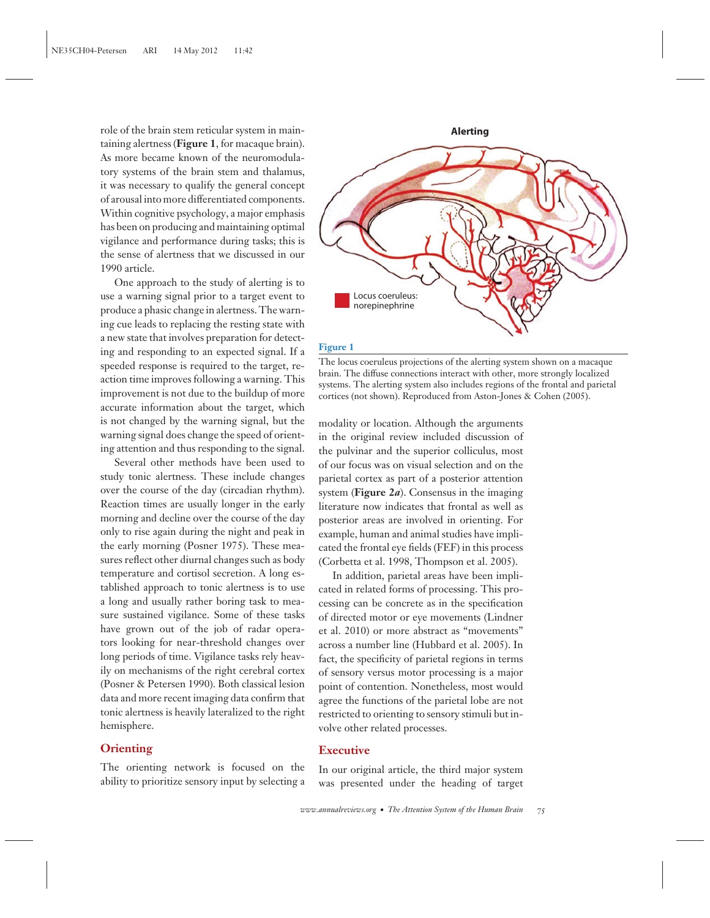role of the brain stem reticular system in maintaining alertness (**Figure 1**, for macaque brain). As more became known of the neuromodulatory systems of the brain stem and thalamus, it was necessary to qualify the general concept of arousal into more differentiated components. Within cognitive psychology, a major emphasis has been on producing and maintaining optimal vigilance and performance during tasks; this is the sense of alertness that we discussed in our 1990 article.

One approach to the study of alerting is to use a warning signal prior to a target event to produce a phasic change in alertness. The warning cue leads to replacing the resting state with a new state that involves preparation for detecting and responding to an expected signal. If a speeded response is required to the target, reaction time improves following a warning. This improvement is not due to the buildup of more accurate information about the target, which is not changed by the warning signal, but the warning signal does change the speed of orienting attention and thus responding to the signal.

Several other methods have been used to study tonic alertness. These include changes over the course of the day (circadian rhythm). Reaction times are usually longer in the early morning and decline over the course of the day only to rise again during the night and peak in the early morning (Posner 1975). These measures reflect other diurnal changes such as body temperature and cortisol secretion. A long established approach to tonic alertness is to use a long and usually rather boring task to measure sustained vigilance. Some of these tasks have grown out of the job of radar operators looking for near-threshold changes over long periods of time. Vigilance tasks rely heavily on mechanisms of the right cerebral cortex (Posner & Petersen 1990). Both classical lesion data and more recent imaging data confirm that tonic alertness is heavily lateralized to the right hemisphere.

#### **Orienting**

The orienting network is focused on the ability to prioritize sensory input by selecting a



#### **Figure 1**

The locus coeruleus projections of the alerting system shown on a macaque brain. The diffuse connections interact with other, more strongly localized systems. The alerting system also includes regions of the frontal and parietal cortices (not shown). Reproduced from Aston-Jones & Cohen (2005).

modality or location. Although the arguments in the original review included discussion of the pulvinar and the superior colliculus, most of our focus was on visual selection and on the parietal cortex as part of a posterior attention system (**Figure 2***a*). Consensus in the imaging literature now indicates that frontal as well as posterior areas are involved in orienting. For example, human and animal studies have implicated the frontal eye fields (FEF) in this process (Corbetta et al. 1998, Thompson et al. 2005).

In addition, parietal areas have been implicated in related forms of processing. This processing can be concrete as in the specification of directed motor or eye movements (Lindner et al. 2010) or more abstract as "movements" across a number line (Hubbard et al. 2005). In fact, the specificity of parietal regions in terms of sensory versus motor processing is a major point of contention. Nonetheless, most would agree the functions of the parietal lobe are not restricted to orienting to sensory stimuli but involve other related processes.

#### **Executive**

In our original article, the third major system was presented under the heading of target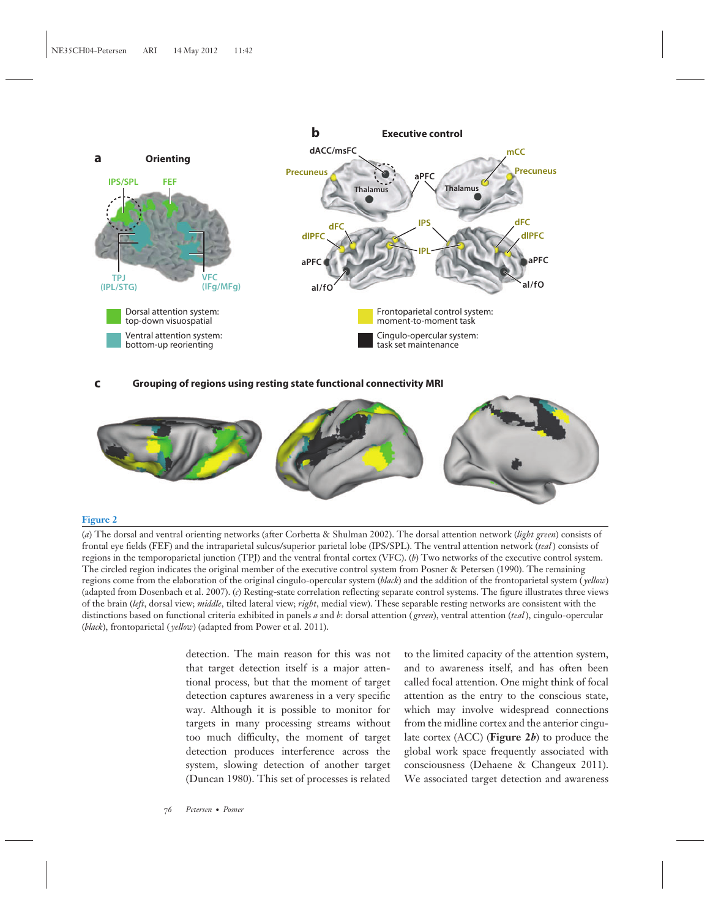



#### **Figure 2**

(*a*) The dorsal and ventral orienting networks (after Corbetta & Shulman 2002). The dorsal attention network (*light green*) consists of frontal eye fields (FEF) and the intraparietal sulcus/superior parietal lobe (IPS/SPL). The ventral attention network (*teal* ) consists of regions in the temporoparietal junction (TPJ) and the ventral frontal cortex (VFC). (*b*) Two networks of the executive control system. The circled region indicates the original member of the executive control system from Posner & Petersen (1990). The remaining regions come from the elaboration of the original cingulo-opercular system (*black*) and the addition of the frontoparietal system ( *yellow*) (adapted from Dosenbach et al. 2007). (*c*) Resting-state correlation reflecting separate control systems. The figure illustrates three views of the brain (*left*, dorsal view; *middle*, tilted lateral view; *right*, medial view). These separable resting networks are consistent with the distinctions based on functional criteria exhibited in panels *a* and *b*: dorsal attention ( *green*), ventral attention (*teal* ), cingulo-opercular (*black*), frontoparietal ( *yellow*) (adapted from Power et al. 2011).

> detection. The main reason for this was not that target detection itself is a major attentional process, but that the moment of target detection captures awareness in a very specific way. Although it is possible to monitor for targets in many processing streams without too much difficulty, the moment of target detection produces interference across the system, slowing detection of another target (Duncan 1980). This set of processes is related

to the limited capacity of the attention system, and to awareness itself, and has often been called focal attention. One might think of focal attention as the entry to the conscious state, which may involve widespread connections from the midline cortex and the anterior cingulate cortex (ACC) (**Figure 2***b*) to produce the global work space frequently associated with consciousness (Dehaene & Changeux 2011). We associated target detection and awareness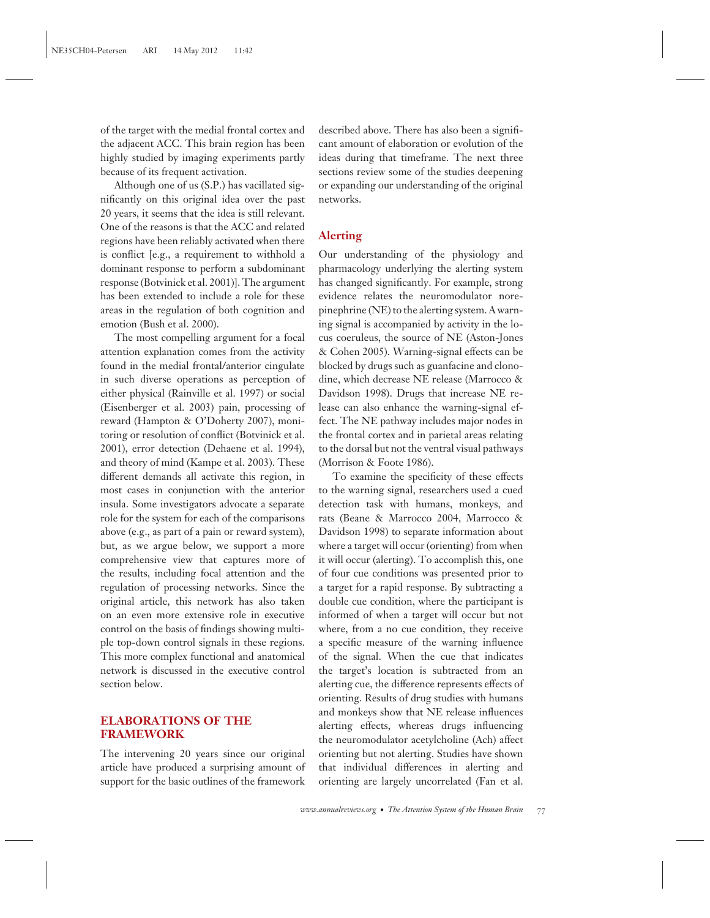of the target with the medial frontal cortex and the adjacent ACC. This brain region has been highly studied by imaging experiments partly because of its frequent activation.

Although one of us (S.P.) has vacillated significantly on this original idea over the past 20 years, it seems that the idea is still relevant. One of the reasons is that the ACC and related regions have been reliably activated when there is conflict [e.g., a requirement to withhold a dominant response to perform a subdominant response (Botvinick et al. 2001)]. The argument has been extended to include a role for these areas in the regulation of both cognition and emotion (Bush et al. 2000).

The most compelling argument for a focal attention explanation comes from the activity found in the medial frontal/anterior cingulate in such diverse operations as perception of either physical (Rainville et al. 1997) or social (Eisenberger et al. 2003) pain, processing of reward (Hampton & O'Doherty 2007), monitoring or resolution of conflict (Botvinick et al. 2001), error detection (Dehaene et al. 1994), and theory of mind (Kampe et al. 2003). These different demands all activate this region, in most cases in conjunction with the anterior insula. Some investigators advocate a separate role for the system for each of the comparisons above (e.g., as part of a pain or reward system), but, as we argue below, we support a more comprehensive view that captures more of the results, including focal attention and the regulation of processing networks. Since the original article, this network has also taken on an even more extensive role in executive control on the basis of findings showing multiple top-down control signals in these regions. This more complex functional and anatomical network is discussed in the executive control section below.

## **ELABORATIONS OF THE FRAMEWORK**

The intervening 20 years since our original article have produced a surprising amount of support for the basic outlines of the framework described above. There has also been a significant amount of elaboration or evolution of the ideas during that timeframe. The next three sections review some of the studies deepening or expanding our understanding of the original networks.

# **Alerting**

Our understanding of the physiology and pharmacology underlying the alerting system has changed significantly. For example, strong evidence relates the neuromodulator norepinephrine (NE) to the alerting system. A warning signal is accompanied by activity in the locus coeruleus, the source of NE (Aston-Jones & Cohen 2005). Warning-signal effects can be blocked by drugs such as guanfacine and clonodine, which decrease NE release (Marrocco & Davidson 1998). Drugs that increase NE release can also enhance the warning-signal effect. The NE pathway includes major nodes in the frontal cortex and in parietal areas relating to the dorsal but not the ventral visual pathways (Morrison & Foote 1986).

To examine the specificity of these effects to the warning signal, researchers used a cued detection task with humans, monkeys, and rats (Beane & Marrocco 2004, Marrocco & Davidson 1998) to separate information about where a target will occur (orienting) from when it will occur (alerting). To accomplish this, one of four cue conditions was presented prior to a target for a rapid response. By subtracting a double cue condition, where the participant is informed of when a target will occur but not where, from a no cue condition, they receive a specific measure of the warning influence of the signal. When the cue that indicates the target's location is subtracted from an alerting cue, the difference represents effects of orienting. Results of drug studies with humans and monkeys show that NE release influences alerting effects, whereas drugs influencing the neuromodulator acetylcholine (Ach) affect orienting but not alerting. Studies have shown that individual differences in alerting and orienting are largely uncorrelated (Fan et al.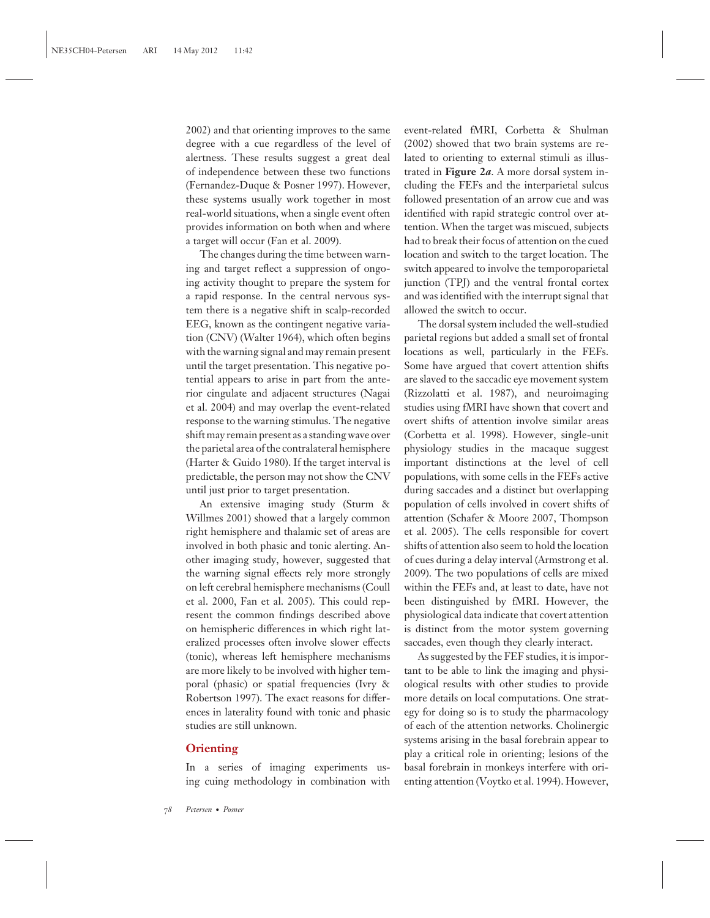2002) and that orienting improves to the same degree with a cue regardless of the level of alertness. These results suggest a great deal of independence between these two functions (Fernandez-Duque & Posner 1997). However, these systems usually work together in most real-world situations, when a single event often provides information on both when and where a target will occur (Fan et al. 2009).

The changes during the time between warning and target reflect a suppression of ongoing activity thought to prepare the system for a rapid response. In the central nervous system there is a negative shift in scalp-recorded EEG, known as the contingent negative variation (CNV) (Walter 1964), which often begins with the warning signal and may remain present until the target presentation. This negative potential appears to arise in part from the anterior cingulate and adjacent structures (Nagai et al. 2004) and may overlap the event-related response to the warning stimulus. The negative shift may remain present as a standing wave over the parietal area of the contralateral hemisphere (Harter & Guido 1980). If the target interval is predictable, the person may not show the CNV until just prior to target presentation.

An extensive imaging study (Sturm & Willmes 2001) showed that a largely common right hemisphere and thalamic set of areas are involved in both phasic and tonic alerting. Another imaging study, however, suggested that the warning signal effects rely more strongly on left cerebral hemisphere mechanisms (Coull et al. 2000, Fan et al. 2005). This could represent the common findings described above on hemispheric differences in which right lateralized processes often involve slower effects (tonic), whereas left hemisphere mechanisms are more likely to be involved with higher temporal (phasic) or spatial frequencies (Ivry & Robertson 1997). The exact reasons for differences in laterality found with tonic and phasic studies are still unknown.

#### **Orienting**

In a series of imaging experiments using cuing methodology in combination with

event-related fMRI, Corbetta & Shulman (2002) showed that two brain systems are related to orienting to external stimuli as illustrated in **Figure 2***a*. A more dorsal system including the FEFs and the interparietal sulcus followed presentation of an arrow cue and was identified with rapid strategic control over attention. When the target was miscued, subjects had to break their focus of attention on the cued location and switch to the target location. The switch appeared to involve the temporoparietal junction (TPJ) and the ventral frontal cortex and was identified with the interrupt signal that allowed the switch to occur.

The dorsal system included the well-studied parietal regions but added a small set of frontal locations as well, particularly in the FEFs. Some have argued that covert attention shifts are slaved to the saccadic eye movement system (Rizzolatti et al. 1987), and neuroimaging studies using fMRI have shown that covert and overt shifts of attention involve similar areas (Corbetta et al. 1998). However, single-unit physiology studies in the macaque suggest important distinctions at the level of cell populations, with some cells in the FEFs active during saccades and a distinct but overlapping population of cells involved in covert shifts of attention (Schafer & Moore 2007, Thompson et al. 2005). The cells responsible for covert shifts of attention also seem to hold the location of cues during a delay interval (Armstrong et al. 2009). The two populations of cells are mixed within the FEFs and, at least to date, have not been distinguished by fMRI. However, the physiological data indicate that covert attention is distinct from the motor system governing saccades, even though they clearly interact.

As suggested by the FEF studies, it is important to be able to link the imaging and physiological results with other studies to provide more details on local computations. One strategy for doing so is to study the pharmacology of each of the attention networks. Cholinergic systems arising in the basal forebrain appear to play a critical role in orienting; lesions of the basal forebrain in monkeys interfere with orienting attention (Voytko et al. 1994). However,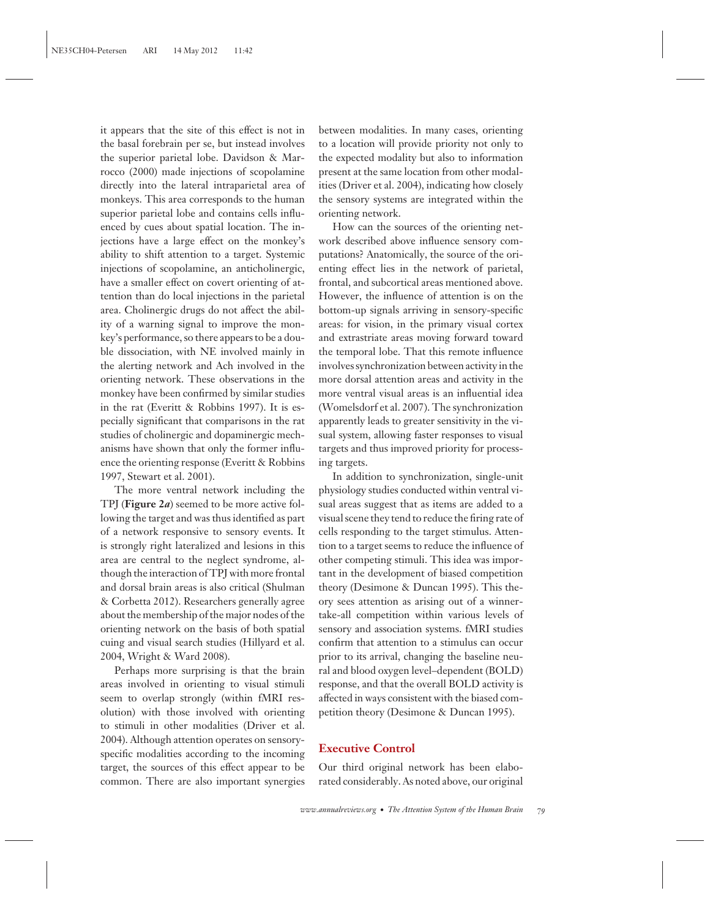it appears that the site of this effect is not in the basal forebrain per se, but instead involves the superior parietal lobe. Davidson & Marrocco (2000) made injections of scopolamine directly into the lateral intraparietal area of monkeys. This area corresponds to the human superior parietal lobe and contains cells influenced by cues about spatial location. The injections have a large effect on the monkey's ability to shift attention to a target. Systemic injections of scopolamine, an anticholinergic, have a smaller effect on covert orienting of attention than do local injections in the parietal area. Cholinergic drugs do not affect the ability of a warning signal to improve the monkey's performance, so there appears to be a double dissociation, with NE involved mainly in the alerting network and Ach involved in the orienting network. These observations in the monkey have been confirmed by similar studies in the rat (Everitt & Robbins 1997). It is especially significant that comparisons in the rat studies of cholinergic and dopaminergic mechanisms have shown that only the former influence the orienting response (Everitt & Robbins 1997, Stewart et al. 2001).

The more ventral network including the TPJ (**Figure 2***a*) seemed to be more active following the target and was thus identified as part of a network responsive to sensory events. It is strongly right lateralized and lesions in this area are central to the neglect syndrome, although the interaction of TPJ with more frontal and dorsal brain areas is also critical (Shulman & Corbetta 2012). Researchers generally agree about the membership of the major nodes of the orienting network on the basis of both spatial cuing and visual search studies (Hillyard et al. 2004, Wright & Ward 2008).

Perhaps more surprising is that the brain areas involved in orienting to visual stimuli seem to overlap strongly (within fMRI resolution) with those involved with orienting to stimuli in other modalities (Driver et al. 2004). Although attention operates on sensoryspecific modalities according to the incoming target, the sources of this effect appear to be common. There are also important synergies between modalities. In many cases, orienting to a location will provide priority not only to the expected modality but also to information present at the same location from other modalities (Driver et al. 2004), indicating how closely the sensory systems are integrated within the orienting network.

How can the sources of the orienting network described above influence sensory computations? Anatomically, the source of the orienting effect lies in the network of parietal, frontal, and subcortical areas mentioned above. However, the influence of attention is on the bottom-up signals arriving in sensory-specific areas: for vision, in the primary visual cortex and extrastriate areas moving forward toward the temporal lobe. That this remote influence involves synchronization between activity in the more dorsal attention areas and activity in the more ventral visual areas is an influential idea (Womelsdorf et al. 2007). The synchronization apparently leads to greater sensitivity in the visual system, allowing faster responses to visual targets and thus improved priority for processing targets.

In addition to synchronization, single-unit physiology studies conducted within ventral visual areas suggest that as items are added to a visual scene they tend to reduce the firing rate of cells responding to the target stimulus. Attention to a target seems to reduce the influence of other competing stimuli. This idea was important in the development of biased competition theory (Desimone & Duncan 1995). This theory sees attention as arising out of a winnertake-all competition within various levels of sensory and association systems. fMRI studies confirm that attention to a stimulus can occur prior to its arrival, changing the baseline neural and blood oxygen level–dependent (BOLD) response, and that the overall BOLD activity is affected in ways consistent with the biased competition theory (Desimone & Duncan 1995).

## **Executive Control**

Our third original network has been elaborated considerably. As noted above, our original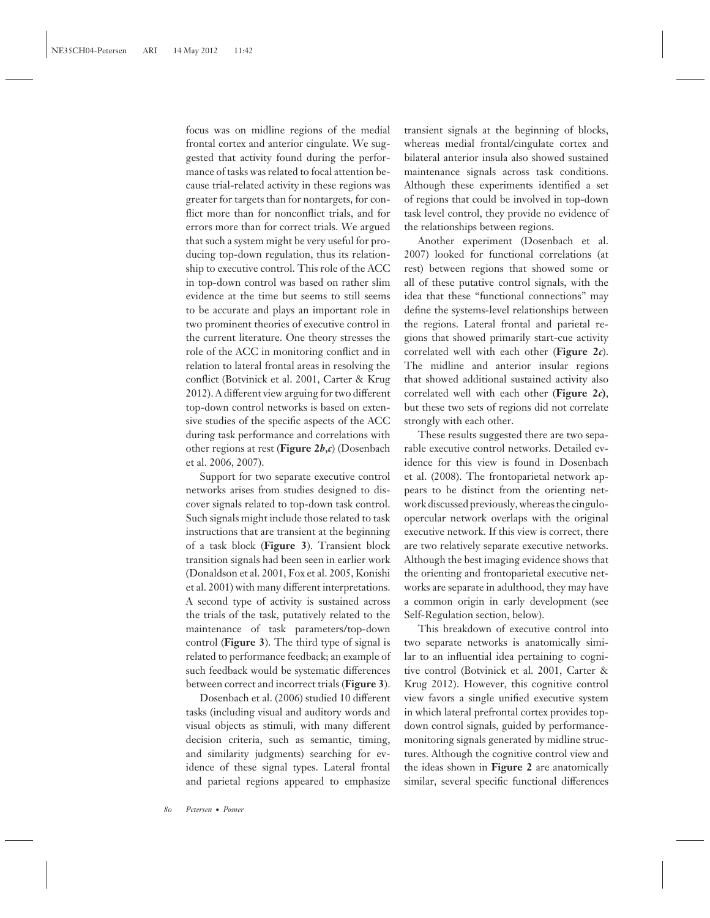focus was on midline regions of the medial frontal cortex and anterior cingulate. We suggested that activity found during the performance of tasks was related to focal attention because trial-related activity in these regions was greater for targets than for nontargets, for conflict more than for nonconflict trials, and for errors more than for correct trials. We argued that such a system might be very useful for producing top-down regulation, thus its relationship to executive control. This role of the ACC in top-down control was based on rather slim evidence at the time but seems to still seems to be accurate and plays an important role in two prominent theories of executive control in the current literature. One theory stresses the role of the ACC in monitoring conflict and in relation to lateral frontal areas in resolving the conflict (Botvinick et al. 2001, Carter & Krug 2012). A different view arguing for two different top-down control networks is based on extensive studies of the specific aspects of the ACC during task performance and correlations with other regions at rest (**Figure 2***b***,***c*) (Dosenbach et al. 2006, 2007).

Support for two separate executive control networks arises from studies designed to discover signals related to top-down task control. Such signals might include those related to task instructions that are transient at the beginning of a task block (**Figure 3**). Transient block transition signals had been seen in earlier work (Donaldson et al. 2001, Fox et al. 2005, Konishi et al. 2001) with many different interpretations. A second type of activity is sustained across the trials of the task, putatively related to the maintenance of task parameters/top-down control (**Figure 3**). The third type of signal is related to performance feedback; an example of such feedback would be systematic differences between correct and incorrect trials (**Figure 3**).

Dosenbach et al. (2006) studied 10 different tasks (including visual and auditory words and visual objects as stimuli, with many different decision criteria, such as semantic, timing, and similarity judgments) searching for evidence of these signal types. Lateral frontal and parietal regions appeared to emphasize transient signals at the beginning of blocks, whereas medial frontal/cingulate cortex and bilateral anterior insula also showed sustained maintenance signals across task conditions. Although these experiments identified a set of regions that could be involved in top-down task level control, they provide no evidence of the relationships between regions.

Another experiment (Dosenbach et al. 2007) looked for functional correlations (at rest) between regions that showed some or all of these putative control signals, with the idea that these "functional connections" may define the systems-level relationships between the regions. Lateral frontal and parietal regions that showed primarily start-cue activity correlated well with each other (**Figure 2***c*). The midline and anterior insular regions that showed additional sustained activity also correlated well with each other (**Figure 2***c***)**, but these two sets of regions did not correlate strongly with each other.

These results suggested there are two separable executive control networks. Detailed evidence for this view is found in Dosenbach et al. (2008). The frontoparietal network appears to be distinct from the orienting network discussed previously, whereas the cinguloopercular network overlaps with the original executive network. If this view is correct, there are two relatively separate executive networks. Although the best imaging evidence shows that the orienting and frontoparietal executive networks are separate in adulthood, they may have a common origin in early development (see Self-Regulation section, below).

This breakdown of executive control into two separate networks is anatomically similar to an influential idea pertaining to cognitive control (Botvinick et al. 2001, Carter & Krug 2012). However, this cognitive control view favors a single unified executive system in which lateral prefrontal cortex provides topdown control signals, guided by performancemonitoring signals generated by midline structures. Although the cognitive control view and the ideas shown in **Figure 2** are anatomically similar, several specific functional differences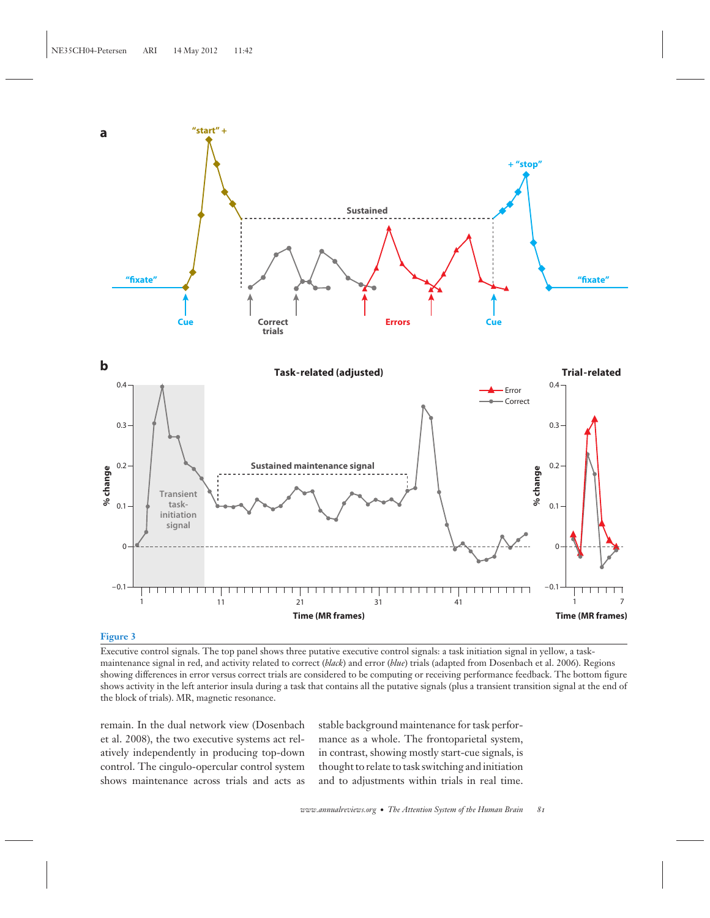

#### **Figure 3**

Executive control signals. The top panel shows three putative executive control signals: a task initiation signal in yellow, a taskmaintenance signal in red, and activity related to correct (*black*) and error (*blue*) trials (adapted from Dosenbach et al. 2006). Regions showing differences in error versus correct trials are considered to be computing or receiving performance feedback. The bottom figure shows activity in the left anterior insula during a task that contains all the putative signals (plus a transient transition signal at the end of the block of trials). MR, magnetic resonance.

remain. In the dual network view (Dosenbach et al. 2008), the two executive systems act relatively independently in producing top-down control. The cingulo-opercular control system shows maintenance across trials and acts as

stable background maintenance for task performance as a whole. The frontoparietal system, in contrast, showing mostly start-cue signals, is thought to relate to task switching and initiation and to adjustments within trials in real time.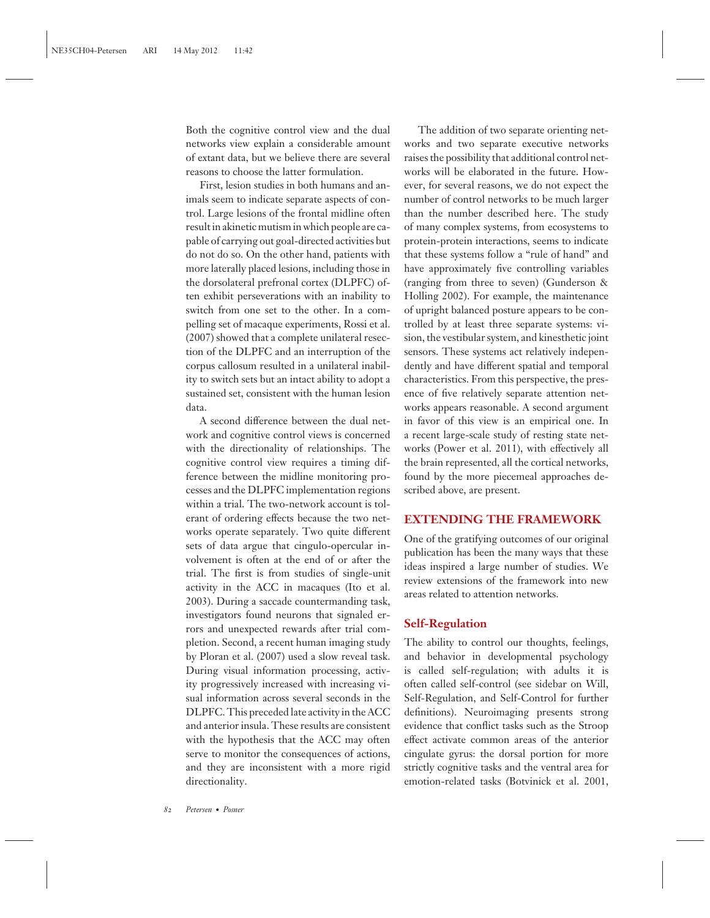Both the cognitive control view and the dual networks view explain a considerable amount of extant data, but we believe there are several reasons to choose the latter formulation.

First, lesion studies in both humans and animals seem to indicate separate aspects of control. Large lesions of the frontal midline often result in akinetic mutism in which people are capable of carrying out goal-directed activities but do not do so. On the other hand, patients with more laterally placed lesions, including those in the dorsolateral prefronal cortex (DLPFC) often exhibit perseverations with an inability to switch from one set to the other. In a compelling set of macaque experiments, Rossi et al. (2007) showed that a complete unilateral resection of the DLPFC and an interruption of the corpus callosum resulted in a unilateral inability to switch sets but an intact ability to adopt a sustained set, consistent with the human lesion data.

A second difference between the dual network and cognitive control views is concerned with the directionality of relationships. The cognitive control view requires a timing difference between the midline monitoring processes and the DLPFC implementation regions within a trial. The two-network account is tolerant of ordering effects because the two networks operate separately. Two quite different sets of data argue that cingulo-opercular involvement is often at the end of or after the trial. The first is from studies of single-unit activity in the ACC in macaques (Ito et al. 2003). During a saccade countermanding task, investigators found neurons that signaled errors and unexpected rewards after trial completion. Second, a recent human imaging study by Ploran et al. (2007) used a slow reveal task. During visual information processing, activity progressively increased with increasing visual information across several seconds in the DLPFC. This preceded late activity in the ACC and anterior insula. These results are consistent with the hypothesis that the ACC may often serve to monitor the consequences of actions, and they are inconsistent with a more rigid directionality.

The addition of two separate orienting networks and two separate executive networks raises the possibility that additional control networks will be elaborated in the future. However, for several reasons, we do not expect the number of control networks to be much larger than the number described here. The study of many complex systems, from ecosystems to protein-protein interactions, seems to indicate that these systems follow a "rule of hand" and have approximately five controlling variables (ranging from three to seven) (Gunderson & Holling 2002). For example, the maintenance of upright balanced posture appears to be controlled by at least three separate systems: vision, the vestibular system, and kinesthetic joint sensors. These systems act relatively independently and have different spatial and temporal characteristics. From this perspective, the presence of five relatively separate attention networks appears reasonable. A second argument in favor of this view is an empirical one. In a recent large-scale study of resting state networks (Power et al. 2011), with effectively all the brain represented, all the cortical networks, found by the more piecemeal approaches described above, are present.

## **EXTENDING THE FRAMEWORK**

One of the gratifying outcomes of our original publication has been the many ways that these ideas inspired a large number of studies. We review extensions of the framework into new areas related to attention networks.

#### **Self-Regulation**

The ability to control our thoughts, feelings, and behavior in developmental psychology is called self-regulation; with adults it is often called self-control (see sidebar on Will, Self-Regulation, and Self-Control for further definitions). Neuroimaging presents strong evidence that conflict tasks such as the Stroop effect activate common areas of the anterior cingulate gyrus: the dorsal portion for more strictly cognitive tasks and the ventral area for emotion-related tasks (Botvinick et al. 2001,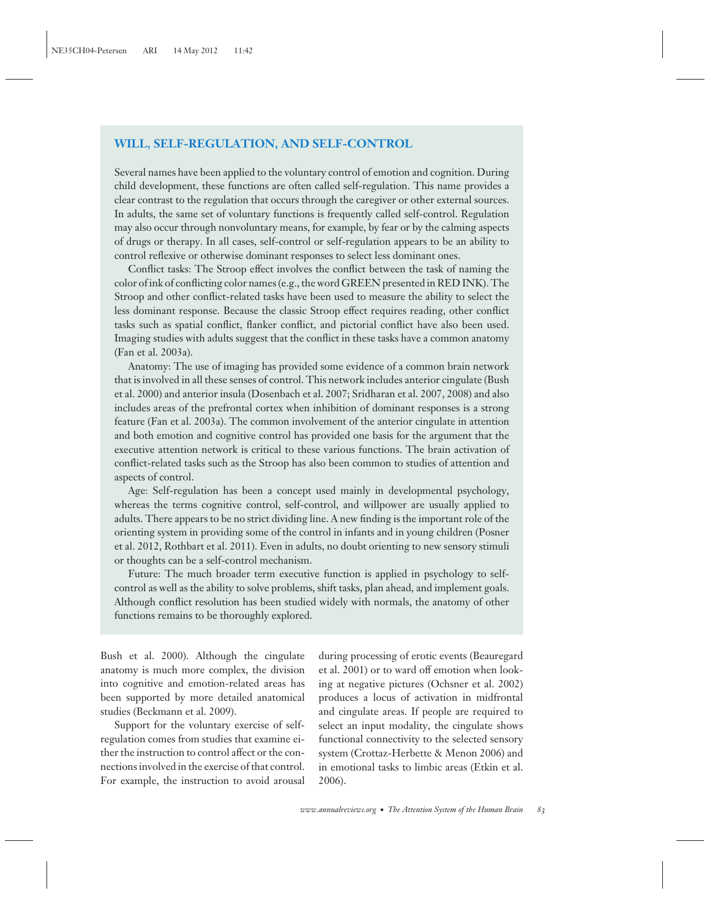# **WILL, SELF-REGULATION, AND SELF-CONTROL**

Several names have been applied to the voluntary control of emotion and cognition. During child development, these functions are often called self-regulation. This name provides a clear contrast to the regulation that occurs through the caregiver or other external sources. In adults, the same set of voluntary functions is frequently called self-control. Regulation may also occur through nonvoluntary means, for example, by fear or by the calming aspects of drugs or therapy. In all cases, self-control or self-regulation appears to be an ability to control reflexive or otherwise dominant responses to select less dominant ones.

Conflict tasks: The Stroop effect involves the conflict between the task of naming the color of ink of conflicting color names (e.g., the word GREEN presented in RED INK). The Stroop and other conflict-related tasks have been used to measure the ability to select the less dominant response. Because the classic Stroop effect requires reading, other conflict tasks such as spatial conflict, flanker conflict, and pictorial conflict have also been used. Imaging studies with adults suggest that the conflict in these tasks have a common anatomy (Fan et al. 2003a).

Anatomy: The use of imaging has provided some evidence of a common brain network that is involved in all these senses of control. This network includes anterior cingulate (Bush et al. 2000) and anterior insula (Dosenbach et al. 2007; Sridharan et al. 2007, 2008) and also includes areas of the prefrontal cortex when inhibition of dominant responses is a strong feature (Fan et al. 2003a). The common involvement of the anterior cingulate in attention and both emotion and cognitive control has provided one basis for the argument that the executive attention network is critical to these various functions. The brain activation of conflict-related tasks such as the Stroop has also been common to studies of attention and aspects of control.

Age: Self-regulation has been a concept used mainly in developmental psychology, whereas the terms cognitive control, self-control, and willpower are usually applied to adults. There appears to be no strict dividing line. A new finding is the important role of the orienting system in providing some of the control in infants and in young children (Posner et al. 2012, Rothbart et al. 2011). Even in adults, no doubt orienting to new sensory stimuli or thoughts can be a self-control mechanism.

Future: The much broader term executive function is applied in psychology to selfcontrol as well as the ability to solve problems, shift tasks, plan ahead, and implement goals. Although conflict resolution has been studied widely with normals, the anatomy of other functions remains to be thoroughly explored.

Bush et al. 2000). Although the cingulate anatomy is much more complex, the division into cognitive and emotion-related areas has been supported by more detailed anatomical studies (Beckmann et al. 2009).

Support for the voluntary exercise of selfregulation comes from studies that examine either the instruction to control affect or the connections involved in the exercise of that control. For example, the instruction to avoid arousal during processing of erotic events (Beauregard et al. 2001) or to ward off emotion when looking at negative pictures (Ochsner et al. 2002) produces a locus of activation in midfrontal and cingulate areas. If people are required to select an input modality, the cingulate shows functional connectivity to the selected sensory system (Crottaz-Herbette & Menon 2006) and in emotional tasks to limbic areas (Etkin et al. 2006).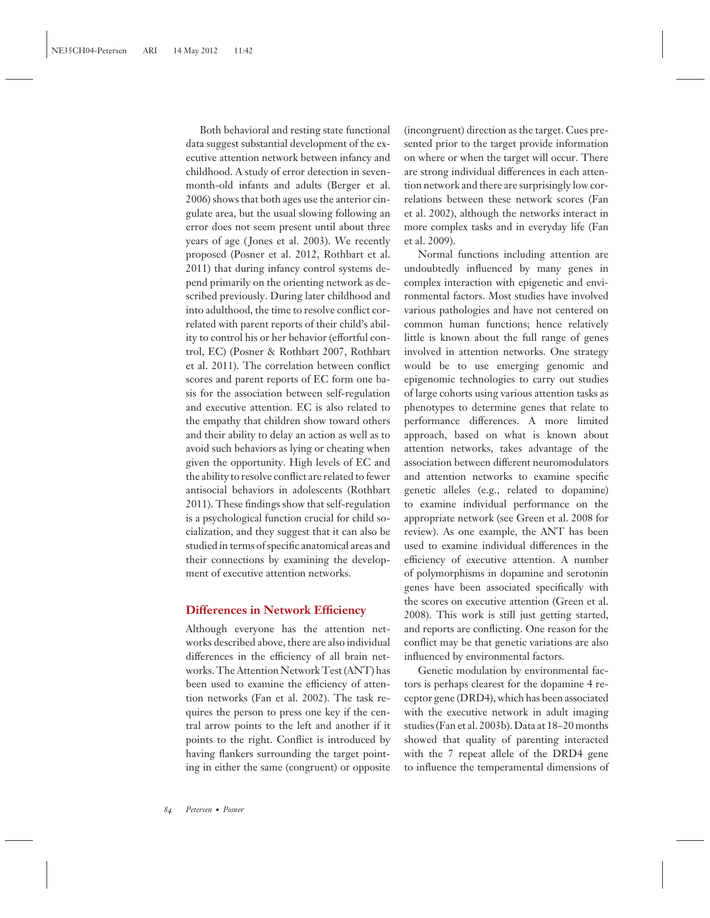Both behavioral and resting state functional data suggest substantial development of the executive attention network between infancy and childhood. A study of error detection in sevenmonth-old infants and adults (Berger et al. 2006) shows that both ages use the anterior cingulate area, but the usual slowing following an error does not seem present until about three years of age (Jones et al. 2003). We recently proposed (Posner et al. 2012, Rothbart et al. 2011) that during infancy control systems depend primarily on the orienting network as described previously. During later childhood and into adulthood, the time to resolve conflict correlated with parent reports of their child's ability to control his or her behavior (effortful control, EC) (Posner & Rothbart 2007, Rothbart et al. 2011). The correlation between conflict scores and parent reports of EC form one basis for the association between self-regulation and executive attention. EC is also related to the empathy that children show toward others and their ability to delay an action as well as to avoid such behaviors as lying or cheating when given the opportunity. High levels of EC and the ability to resolve conflict are related to fewer antisocial behaviors in adolescents (Rothbart 2011). These findings show that self-regulation is a psychological function crucial for child socialization, and they suggest that it can also be studied in terms of specific anatomical areas and their connections by examining the development of executive attention networks.

#### **Differences in Network Efficiency**

Although everyone has the attention networks described above, there are also individual differences in the efficiency of all brain networks. The Attention Network Test (ANT) has been used to examine the efficiency of attention networks (Fan et al. 2002). The task requires the person to press one key if the central arrow points to the left and another if it points to the right. Conflict is introduced by having flankers surrounding the target pointing in either the same (congruent) or opposite

(incongruent) direction as the target. Cues presented prior to the target provide information on where or when the target will occur. There are strong individual differences in each attention network and there are surprisingly low correlations between these network scores (Fan et al. 2002), although the networks interact in more complex tasks and in everyday life (Fan et al. 2009).

Normal functions including attention are undoubtedly influenced by many genes in complex interaction with epigenetic and environmental factors. Most studies have involved various pathologies and have not centered on common human functions; hence relatively little is known about the full range of genes involved in attention networks. One strategy would be to use emerging genomic and epigenomic technologies to carry out studies of large cohorts using various attention tasks as phenotypes to determine genes that relate to performance differences. A more limited approach, based on what is known about attention networks, takes advantage of the association between different neuromodulators and attention networks to examine specific genetic alleles (e.g., related to dopamine) to examine individual performance on the appropriate network (see Green et al. 2008 for review). As one example, the ANT has been used to examine individual differences in the efficiency of executive attention. A number of polymorphisms in dopamine and serotonin genes have been associated specifically with the scores on executive attention (Green et al. 2008). This work is still just getting started, and reports are conflicting. One reason for the conflict may be that genetic variations are also influenced by environmental factors.

Genetic modulation by environmental factors is perhaps clearest for the dopamine 4 receptor gene (DRD4), which has been associated with the executive network in adult imaging studies (Fan et al. 2003b). Data at 18–20 months showed that quality of parenting interacted with the 7 repeat allele of the DRD4 gene to influence the temperamental dimensions of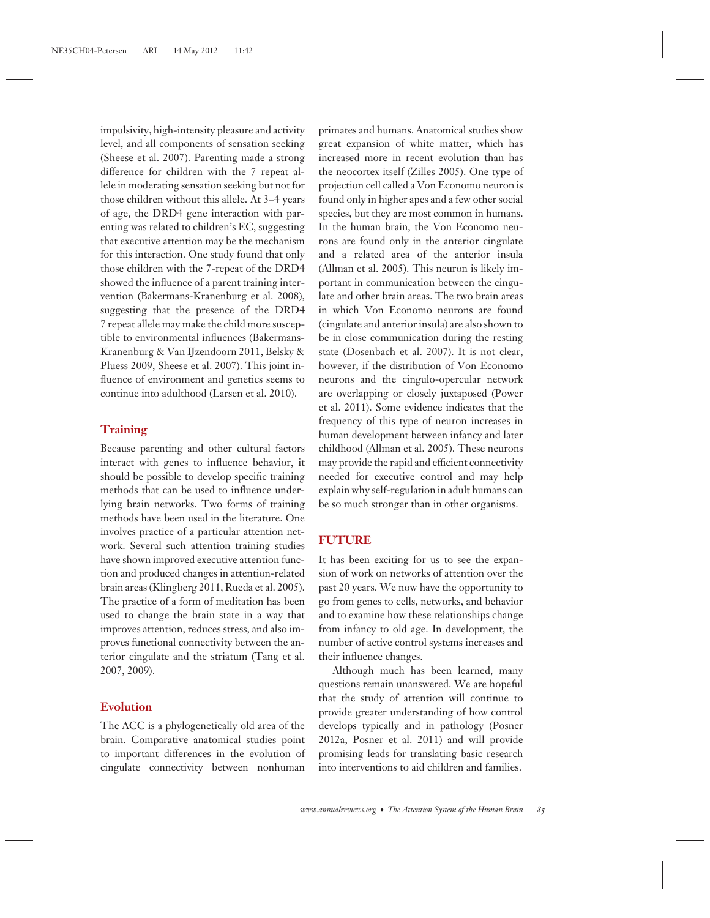impulsivity, high-intensity pleasure and activity level, and all components of sensation seeking (Sheese et al. 2007). Parenting made a strong difference for children with the 7 repeat allele in moderating sensation seeking but not for those children without this allele. At 3–4 years of age, the DRD4 gene interaction with parenting was related to children's EC, suggesting that executive attention may be the mechanism for this interaction. One study found that only those children with the 7-repeat of the DRD4 showed the influence of a parent training intervention (Bakermans-Kranenburg et al. 2008), suggesting that the presence of the DRD4 7 repeat allele may make the child more susceptible to environmental influences (Bakermans-Kranenburg & Van IJzendoorn 2011, Belsky & Pluess 2009, Sheese et al. 2007). This joint influence of environment and genetics seems to continue into adulthood (Larsen et al. 2010).

### **Training**

Because parenting and other cultural factors interact with genes to influence behavior, it should be possible to develop specific training methods that can be used to influence underlying brain networks. Two forms of training methods have been used in the literature. One involves practice of a particular attention network. Several such attention training studies have shown improved executive attention function and produced changes in attention-related brain areas (Klingberg 2011, Rueda et al. 2005). The practice of a form of meditation has been used to change the brain state in a way that improves attention, reduces stress, and also improves functional connectivity between the anterior cingulate and the striatum (Tang et al. 2007, 2009).

#### **Evolution**

The ACC is a phylogenetically old area of the brain. Comparative anatomical studies point to important differences in the evolution of cingulate connectivity between nonhuman

primates and humans. Anatomical studies show great expansion of white matter, which has increased more in recent evolution than has the neocortex itself (Zilles 2005). One type of projection cell called a Von Economo neuron is found only in higher apes and a few other social species, but they are most common in humans. In the human brain, the Von Economo neurons are found only in the anterior cingulate and a related area of the anterior insula (Allman et al. 2005). This neuron is likely important in communication between the cingulate and other brain areas. The two brain areas in which Von Economo neurons are found (cingulate and anterior insula) are also shown to be in close communication during the resting state (Dosenbach et al. 2007). It is not clear, however, if the distribution of Von Economo neurons and the cingulo-opercular network are overlapping or closely juxtaposed (Power et al. 2011). Some evidence indicates that the frequency of this type of neuron increases in human development between infancy and later childhood (Allman et al. 2005). These neurons may provide the rapid and efficient connectivity needed for executive control and may help explain why self-regulation in adult humans can be so much stronger than in other organisms.

### **FUTURE**

It has been exciting for us to see the expansion of work on networks of attention over the past 20 years. We now have the opportunity to go from genes to cells, networks, and behavior and to examine how these relationships change from infancy to old age. In development, the number of active control systems increases and their influence changes.

Although much has been learned, many questions remain unanswered. We are hopeful that the study of attention will continue to provide greater understanding of how control develops typically and in pathology (Posner 2012a, Posner et al. 2011) and will provide promising leads for translating basic research into interventions to aid children and families.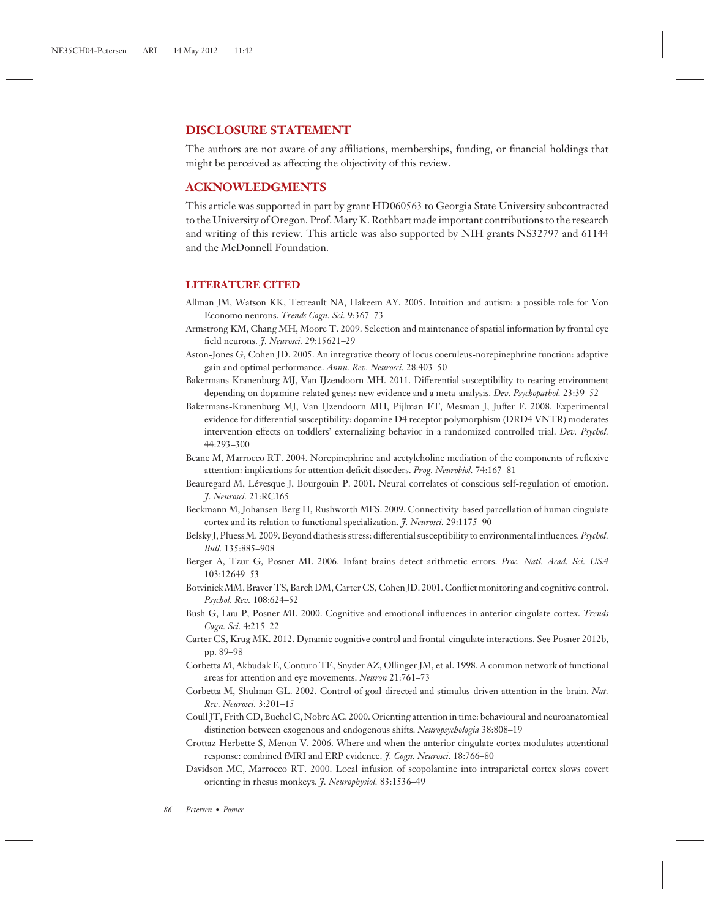## **DISCLOSURE STATEMENT**

The authors are not aware of any affiliations, memberships, funding, or financial holdings that might be perceived as affecting the objectivity of this review.

#### **ACKNOWLEDGMENTS**

This article was supported in part by grant HD060563 to Georgia State University subcontracted to the University of Oregon. Prof. Mary K. Rothbart made important contributions to the research and writing of this review. This article was also supported by NIH grants NS32797 and 61144 and the McDonnell Foundation.

#### **LITERATURE CITED**

- Allman JM, Watson KK, Tetreault NA, Hakeem AY. 2005. Intuition and autism: a possible role for Von Economo neurons. *Trends Cogn. Sci.* 9:367–73
- Armstrong KM, Chang MH, Moore T. 2009. Selection and maintenance of spatial information by frontal eye field neurons. *J. Neurosci.* 29:15621–29
- Aston-Jones G, Cohen JD. 2005. An integrative theory of locus coeruleus-norepinephrine function: adaptive gain and optimal performance. *Annu. Rev. Neurosci.* 28:403–50
- Bakermans-Kranenburg MJ, Van IJzendoorn MH. 2011. Differential susceptibility to rearing environment depending on dopamine-related genes: new evidence and a meta-analysis. *Dev. Psychopathol.* 23:39–52
- Bakermans-Kranenburg MJ, Van IJzendoorn MH, Pijlman FT, Mesman J, Juffer F. 2008. Experimental evidence for differential susceptibility: dopamine D4 receptor polymorphism (DRD4 VNTR) moderates intervention effects on toddlers' externalizing behavior in a randomized controlled trial. *Dev. Psychol.* 44:293–300
- Beane M, Marrocco RT. 2004. Norepinephrine and acetylcholine mediation of the components of reflexive attention: implications for attention deficit disorders. *Prog. Neurobiol.* 74:167–81
- Beauregard M, Lévesque J, Bourgouin P. 2001. Neural correlates of conscious self-regulation of emotion. *J. Neurosci.* 21:RC165
- Beckmann M, Johansen-Berg H, Rushworth MFS. 2009. Connectivity-based parcellation of human cingulate cortex and its relation to functional specialization. *J. Neurosci.* 29:1175–90
- Belsky J, Pluess M. 2009. Beyond diathesis stress: differential susceptibility to environmental influences. *Psychol. Bull.* 135:885–908
- Berger A, Tzur G, Posner MI. 2006. Infant brains detect arithmetic errors. *Proc. Natl. Acad. Sci. USA* 103:12649–53
- Botvinick MM, Braver TS, Barch DM, Carter CS, Cohen JD. 2001. Conflict monitoring and cognitive control. *Psychol. Rev.* 108:624–52
- Bush G, Luu P, Posner MI. 2000. Cognitive and emotional influences in anterior cingulate cortex. *Trends Cogn. Sci.* 4:215–22
- Carter CS, Krug MK. 2012. Dynamic cognitive control and frontal-cingulate interactions. See Posner 2012b, pp. 89–98
- Corbetta M, Akbudak E, Conturo TE, Snyder AZ, Ollinger JM, et al. 1998. A common network of functional areas for attention and eye movements. *Neuron* 21:761–73
- Corbetta M, Shulman GL. 2002. Control of goal-directed and stimulus-driven attention in the brain. *Nat. Rev. Neurosci.* 3:201–15
- Coull JT, Frith CD, Buchel C, Nobre AC. 2000. Orienting attention in time: behavioural and neuroanatomical distinction between exogenous and endogenous shifts. *Neuropsychologia* 38:808–19
- Crottaz-Herbette S, Menon V. 2006. Where and when the anterior cingulate cortex modulates attentional response: combined fMRI and ERP evidence. *J. Cogn. Neurosci.* 18:766–80
- Davidson MC, Marrocco RT. 2000. Local infusion of scopolamine into intraparietal cortex slows covert orienting in rhesus monkeys. *J. Neurophysiol.* 83:1536–49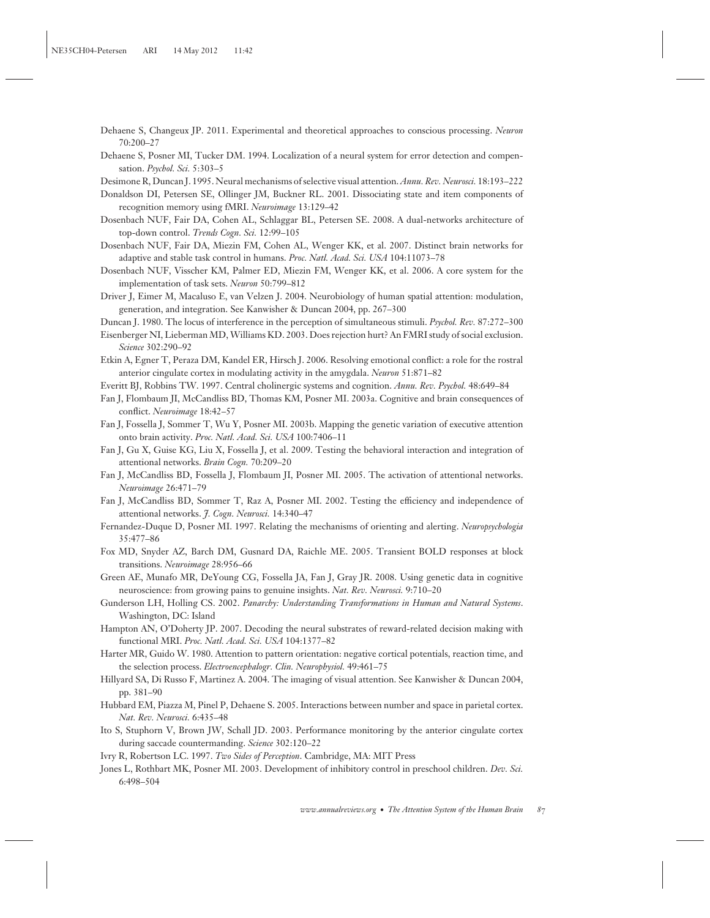- Dehaene S, Changeux JP. 2011. Experimental and theoretical approaches to conscious processing. *Neuron* 70:200–27
- Dehaene S, Posner MI, Tucker DM. 1994. Localization of a neural system for error detection and compensation. *Psychol. Sci.* 5:303–5
- Desimone R, Duncan J. 1995. Neural mechanisms of selective visual attention. *Annu. Rev. Neurosci.* 18:193–222
- Donaldson DI, Petersen SE, Ollinger JM, Buckner RL. 2001. Dissociating state and item components of recognition memory using fMRI. *Neuroimage* 13:129–42
- Dosenbach NUF, Fair DA, Cohen AL, Schlaggar BL, Petersen SE. 2008. A dual-networks architecture of top-down control. *Trends Cogn. Sci.* 12:99–105
- Dosenbach NUF, Fair DA, Miezin FM, Cohen AL, Wenger KK, et al. 2007. Distinct brain networks for adaptive and stable task control in humans. *Proc. Natl. Acad. Sci. USA* 104:11073–78
- Dosenbach NUF, Visscher KM, Palmer ED, Miezin FM, Wenger KK, et al. 2006. A core system for the implementation of task sets. *Neuron* 50:799–812
- Driver J, Eimer M, Macaluso E, van Velzen J. 2004. Neurobiology of human spatial attention: modulation, generation, and integration. See Kanwisher & Duncan 2004, pp. 267–300
- Duncan J. 1980. The locus of interference in the perception of simultaneous stimuli. *Psychol. Rev.* 87:272–300
- Eisenberger NI, Lieberman MD,Williams KD. 2003. Does rejection hurt? An FMRI study of social exclusion. *Science* 302:290–92
- Etkin A, Egner T, Peraza DM, Kandel ER, Hirsch J. 2006. Resolving emotional conflict: a role for the rostral anterior cingulate cortex in modulating activity in the amygdala. *Neuron* 51:871–82
- Everitt BJ, Robbins TW. 1997. Central cholinergic systems and cognition. *Annu. Rev. Psychol.* 48:649–84
- Fan J, Flombaum JI, McCandliss BD, Thomas KM, Posner MI. 2003a. Cognitive and brain consequences of conflict. *Neuroimage* 18:42–57
- Fan J, Fossella J, Sommer T, Wu Y, Posner MI. 2003b. Mapping the genetic variation of executive attention onto brain activity. *Proc. Natl. Acad. Sci. USA* 100:7406–11
- Fan J, Gu X, Guise KG, Liu X, Fossella J, et al. 2009. Testing the behavioral interaction and integration of attentional networks. *Brain Cogn.* 70:209–20
- Fan J, McCandliss BD, Fossella J, Flombaum JI, Posner MI. 2005. The activation of attentional networks. *Neuroimage* 26:471–79
- Fan J, McCandliss BD, Sommer T, Raz A, Posner MI. 2002. Testing the efficiency and independence of attentional networks. *J. Cogn. Neurosci.* 14:340–47
- Fernandez-Duque D, Posner MI. 1997. Relating the mechanisms of orienting and alerting. *Neuropsychologia* 35:477–86
- Fox MD, Snyder AZ, Barch DM, Gusnard DA, Raichle ME. 2005. Transient BOLD responses at block transitions. *Neuroimage* 28:956–66
- Green AE, Munafo MR, DeYoung CG, Fossella JA, Fan J, Gray JR. 2008. Using genetic data in cognitive neuroscience: from growing pains to genuine insights. *Nat. Rev. Neurosci.* 9:710–20
- Gunderson LH, Holling CS. 2002. *Panarchy: Understanding Transformations in Human and Natural Systems*. Washington, DC: Island
- Hampton AN, O'Doherty JP. 2007. Decoding the neural substrates of reward-related decision making with functional MRI. *Proc. Natl. Acad. Sci. USA* 104:1377–82
- Harter MR, Guido W. 1980. Attention to pattern orientation: negative cortical potentials, reaction time, and the selection process. *Electroencephalogr. Clin. Neurophysiol.* 49:461–75
- Hillyard SA, Di Russo F, Martinez A. 2004. The imaging of visual attention. See Kanwisher & Duncan 2004, pp. 381–90
- Hubbard EM, Piazza M, Pinel P, Dehaene S. 2005. Interactions between number and space in parietal cortex. *Nat. Rev. Neurosci.* 6:435–48
- Ito S, Stuphorn V, Brown JW, Schall JD. 2003. Performance monitoring by the anterior cingulate cortex during saccade countermanding. *Science* 302:120–22

Ivry R, Robertson LC. 1997. *Two Sides of Perception*. Cambridge, MA: MIT Press

Jones L, Rothbart MK, Posner MI. 2003. Development of inhibitory control in preschool children. *Dev. Sci.* 6:498–504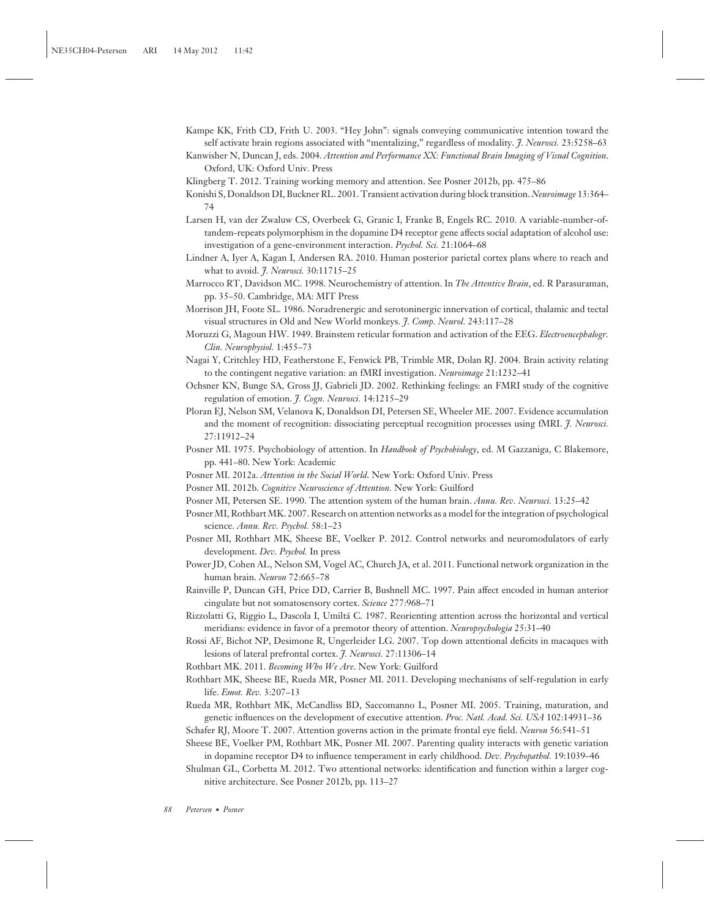- Kampe KK, Frith CD, Frith U. 2003. "Hey John": signals conveying communicative intention toward the self activate brain regions associated with "mentalizing," regardless of modality. *J. Neurosci.* 23:5258–63
- Kanwisher N, Duncan J, eds. 2004. *Attention and Performance XX: Functional Brain Imaging of Visual Cognition*. Oxford, UK: Oxford Univ. Press
- Klingberg T. 2012. Training working memory and attention. See Posner 2012b, pp. 475–86
- Konishi S, Donaldson DI, Buckner RL. 2001. Transient activation during block transition. *Neuroimage* 13:364– 74
- Larsen H, van der Zwaluw CS, Overbeek G, Granic I, Franke B, Engels RC. 2010. A variable-number-oftandem-repeats polymorphism in the dopamine D4 receptor gene affects social adaptation of alcohol use: investigation of a gene-environment interaction. *Psychol. Sci.* 21:1064–68
- Lindner A, Iyer A, Kagan I, Andersen RA. 2010. Human posterior parietal cortex plans where to reach and what to avoid. *J. Neurosci.* 30:11715–25
- Marrocco RT, Davidson MC. 1998. Neurochemistry of attention. In *The Attentive Brain*, ed. R Parasuraman, pp. 35–50. Cambridge, MA: MIT Press
- Morrison JH, Foote SL. 1986. Noradrenergic and serotoninergic innervation of cortical, thalamic and tectal visual structures in Old and New World monkeys. *J. Comp. Neurol.* 243:117–28
- Moruzzi G, Magoun HW. 1949. Brainstem reticular formation and activation of the EEG. *Electroencephalogr. Clin. Neurophysiol.* 1:455–73
- Nagai Y, Critchley HD, Featherstone E, Fenwick PB, Trimble MR, Dolan RJ. 2004. Brain activity relating to the contingent negative variation: an fMRI investigation. *Neuroimage* 21:1232–41
- Ochsner KN, Bunge SA, Gross JJ, Gabrieli JD. 2002. Rethinking feelings: an FMRI study of the cognitive regulation of emotion. *J. Cogn. Neurosci.* 14:1215–29
- Ploran EJ, Nelson SM, Velanova K, Donaldson DI, Petersen SE, Wheeler ME. 2007. Evidence accumulation and the moment of recognition: dissociating perceptual recognition processes using fMRI. *J. Neurosci.* 27:11912–24
- Posner MI. 1975. Psychobiology of attention. In *Handbook of Psychobiology*, ed. M Gazzaniga, C Blakemore, pp. 441–80. New York: Academic
- Posner MI. 2012a. *Attention in the Social World*. New York: Oxford Univ. Press
- Posner MI. 2012b. *Cognitive Neuroscience of Attention*. New York: Guilford
- Posner MI, Petersen SE. 1990. The attention system of the human brain. *Annu. Rev. Neurosci.* 13:25–42
- Posner MI, Rothbart MK. 2007. Research on attention networks as a model for the integration of psychological science. *Annu. Rev. Psychol.* 58:1–23
- Posner MI, Rothbart MK, Sheese BE, Voelker P. 2012. Control networks and neuromodulators of early development. *Dev. Psychol.* In press
- Power JD, Cohen AL, Nelson SM, Vogel AC, Church JA, et al. 2011. Functional network organization in the human brain. *Neuron* 72:665–78
- Rainville P, Duncan GH, Price DD, Carrier B, Bushnell MC. 1997. Pain affect encoded in human anterior cingulate but not somatosensory cortex. *Science* 277:968–71
- Rizzolatti G, Riggio L, Dascola I, Umilta C. 1987. Reorienting attention across the horizontal and vertical ´ meridians: evidence in favor of a premotor theory of attention. *Neuropsychologia* 25:31–40
- Rossi AF, Bichot NP, Desimone R, Ungerleider LG. 2007. Top down attentional deficits in macaques with lesions of lateral prefrontal cortex. *J. Neurosci.* 27:11306–14
- Rothbart MK. 2011. *Becoming Who We Are*. New York: Guilford
- Rothbart MK, Sheese BE, Rueda MR, Posner MI. 2011. Developing mechanisms of self-regulation in early life. *Emot. Rev.* 3:207–13
- Rueda MR, Rothbart MK, McCandliss BD, Saccomanno L, Posner MI. 2005. Training, maturation, and genetic influences on the development of executive attention. *Proc. Natl. Acad. Sci. USA* 102:14931–36

Schafer RJ, Moore T. 2007. Attention governs action in the primate frontal eye field. *Neuron* 56:541–51

- Sheese BE, Voelker PM, Rothbart MK, Posner MI. 2007. Parenting quality interacts with genetic variation in dopamine receptor D4 to influence temperament in early childhood. *Dev. Psychopathol.* 19:1039–46
- Shulman GL, Corbetta M. 2012. Two attentional networks: identification and function within a larger cognitive architecture. See Posner 2012b, pp. 113–27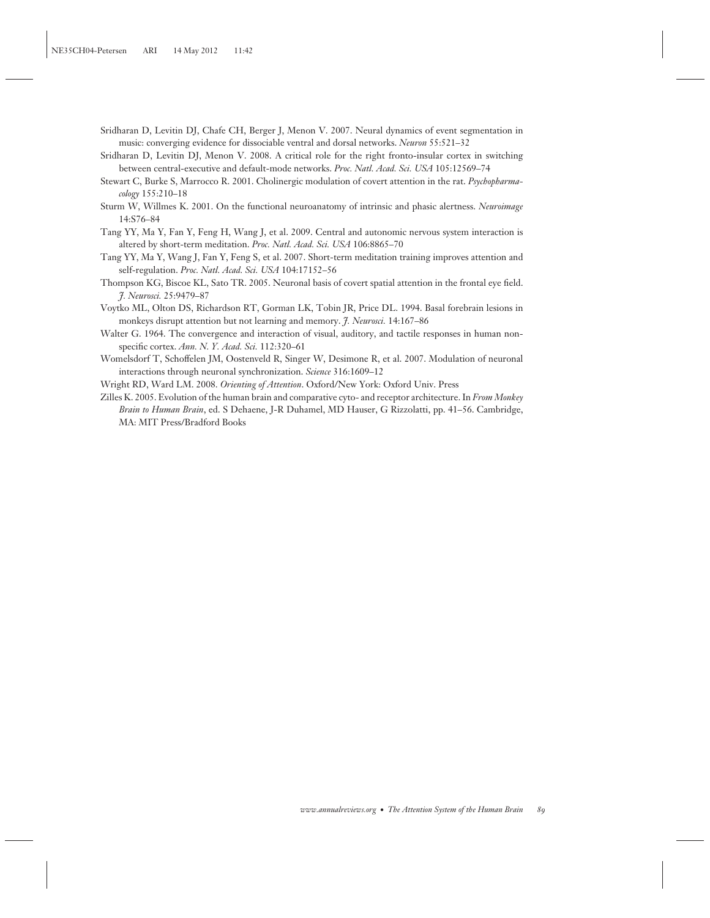- Sridharan D, Levitin DJ, Chafe CH, Berger J, Menon V. 2007. Neural dynamics of event segmentation in music: converging evidence for dissociable ventral and dorsal networks. *Neuron* 55:521–32
- Sridharan D, Levitin DJ, Menon V. 2008. A critical role for the right fronto-insular cortex in switching between central-executive and default-mode networks. *Proc. Natl. Acad. Sci. USA* 105:12569–74
- Stewart C, Burke S, Marrocco R. 2001. Cholinergic modulation of covert attention in the rat. *Psychopharmacology* 155:210–18
- Sturm W, Willmes K. 2001. On the functional neuroanatomy of intrinsic and phasic alertness. *Neuroimage* 14:S76–84
- Tang YY, Ma Y, Fan Y, Feng H, Wang J, et al. 2009. Central and autonomic nervous system interaction is altered by short-term meditation. *Proc. Natl. Acad. Sci. USA* 106:8865–70
- Tang YY, Ma Y, Wang J, Fan Y, Feng S, et al. 2007. Short-term meditation training improves attention and self-regulation. *Proc. Natl. Acad. Sci. USA* 104:17152–56
- Thompson KG, Biscoe KL, Sato TR. 2005. Neuronal basis of covert spatial attention in the frontal eye field. *J. Neurosci.* 25:9479–87
- Voytko ML, Olton DS, Richardson RT, Gorman LK, Tobin JR, Price DL. 1994. Basal forebrain lesions in monkeys disrupt attention but not learning and memory. *J. Neurosci.* 14:167–86
- Walter G. 1964. The convergence and interaction of visual, auditory, and tactile responses in human nonspecific cortex. *Ann. N. Y. Acad. Sci.* 112:320–61
- Womelsdorf T, Schoffelen JM, Oostenveld R, Singer W, Desimone R, et al. 2007. Modulation of neuronal interactions through neuronal synchronization. *Science* 316:1609–12
- Wright RD, Ward LM. 2008. *Orienting of Attention*. Oxford/New York: Oxford Univ. Press
- Zilles K. 2005. Evolution of the human brain and comparative cyto- and receptor architecture. In *From Monkey Brain to Human Brain*, ed. S Dehaene, J-R Duhamel, MD Hauser, G Rizzolatti, pp. 41–56. Cambridge, MA: MIT Press/Bradford Books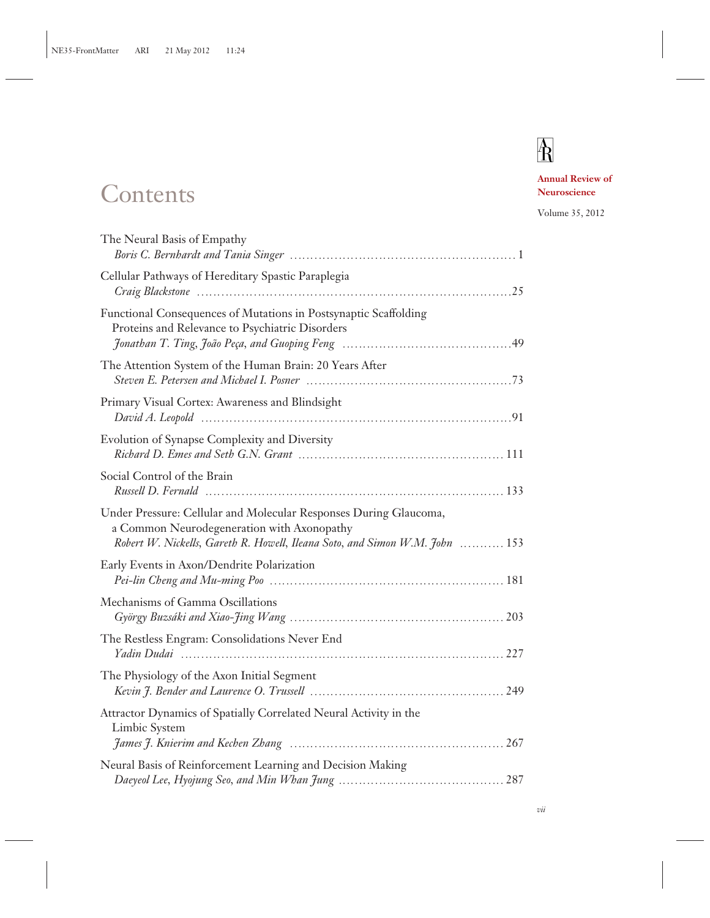# $\overline{\text{R}}$

# **Annual Review of Neuroscience**

# **Contents**

Volume 35, 2012